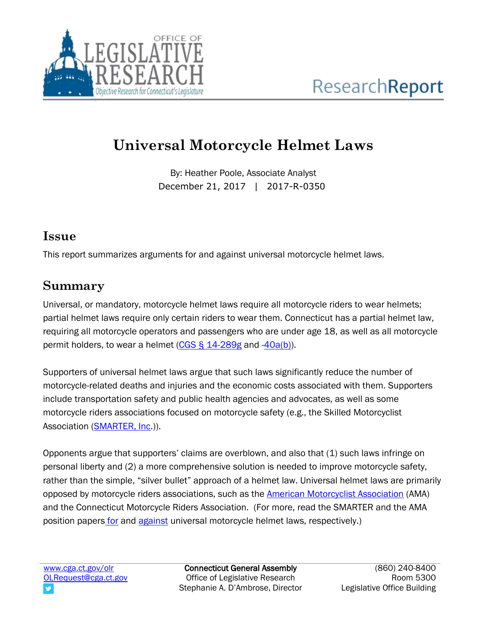

# **Universal Motorcycle Helmet Laws**

By: Heather Poole, Associate Analyst December 21, 2017 | 2017-R-0350

## **Issue**

This report summarizes arguments for and against universal motorcycle helmet laws.

## **Summary**

Universal, or mandatory, motorcycle helmet laws require all motorcycle riders to wear helmets; partial helmet laws require only certain riders to wear them. Connecticut has a partial helmet law, requiring all motorcycle operators and passengers who are under age 18, as well as all motorcycle permit holders, to wear a helmet  $(CGS \S 14-289g)$  and  $(40a(b))$ .

Supporters of universal helmet laws argue that such laws significantly reduce the number of motorcycle-related deaths and injuries and the economic costs associated with them. Supporters include transportation safety and public health agencies and advocates, as well as some motorcycle riders associations focused on motorcycle safety (e.g., the Skilled Motorcyclist Association [\(SMARTER, Inc.](http://smarter-usa.org/wp-content/uploads/2017/05/Debunking_Common_Claims_may_hav-1.pdf))).

Opponents argue that supporters' claims are overblown, and also that (1) such laws infringe on personal liberty and (2) a more comprehensive solution is needed to improve motorcycle safety, rather than the simple, "silver bullet" approach of a helmet law. Universal helmet laws are primarily opposed by motorcycle riders associations, such as the [American Motorcyclist Association](http://www.americanmotorcyclist.com/About-The-AMA/voluntary-helmet-use-1) (AMA) and the Connecticut Motorcycle Riders Association. (For more, read the SMARTER and the AMA position papers [for](http://smarter-usa.org/wp-content/uploads/2017/05/Debunking_Common_Claims_may_hav-1.pdf) and [against](http://www.americanmotorcyclist.com/About-The-AMA/voluntary-helmet-use-1) universal motorcycle helmet laws, respectively.)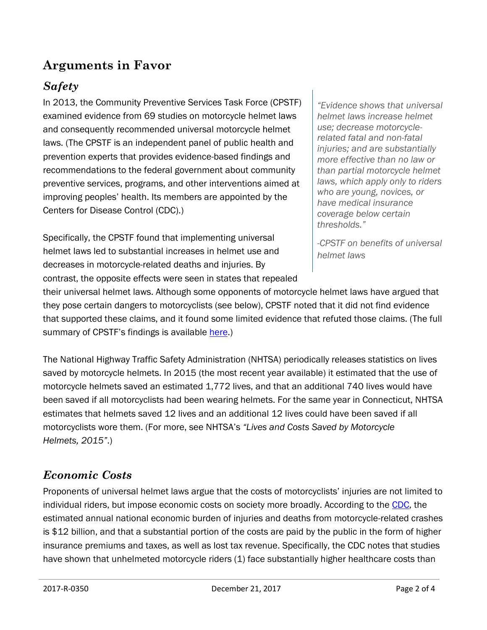## **Arguments in Favor**

## *Safety*

In 2013, the Community Preventive Services Task Force (CPSTF) examined evidence from 69 studies on motorcycle helmet laws and consequently recommended universal motorcycle helmet laws. (The CPSTF is an independent panel of public health and prevention experts that provides evidence-based findings and recommendations to the federal government about community preventive services, programs, and other interventions aimed at improving peoples' health. Its members are appointed by the Centers for Disease Control (CDC).)

Specifically, the CPSTF found that implementing universal helmet laws led to substantial increases in helmet use and decreases in motorcycle-related deaths and injuries. By contrast, the opposite effects were seen in states that repealed

*"Evidence shows that universal helmet laws increase helmet use; decrease motorcyclerelated fatal and non-fatal injuries; and are substantially more effective than no law or than partial motorcycle helmet laws, which apply only to riders who are young, novices, or have medical insurance coverage below certain thresholds."*

*-CPSTF on benefits of universal helmet laws*

their universal helmet laws. Although some opponents of motorcycle helmet laws have argued that they pose certain dangers to motorcyclists (see below), CPSTF noted that it did not find evidence that supported these claims, and it found some limited evidence that refuted those claims. (The full summary of CPSTF's findings is available [here.](https://www.thecommunityguide.org/sites/default/files/assets/MVOI-Motorcycle-Helmets-Laws-Mandating-Use_1.pdf))

The National Highway Traffic Safety Administration (NHTSA) periodically releases statistics on lives saved by motorcycle helmets. In 2015 (the most recent year available) it estimated that the use of motorcycle helmets saved an estimated 1,772 lives, and that an additional 740 lives would have been saved if all motorcyclists had been wearing helmets. For the same year in Connecticut, NHTSA estimates that helmets saved 12 lives and an additional 12 lives could have been saved if all motorcyclists wore them. (For more, see NHTSA's *"Lives and Costs Saved by Motorcycle Helmets, 2015"*.)

#### *Economic Costs*

Proponents of universal helmet laws argue that the costs of motorcyclists' injuries are not limited to individual riders, but impose economic costs on society more broadly. According to the [CDC,](https://www.cdc.gov/motorvehiclesafety/pdf/mc2012/motorcyclesafetybook.pdf) the estimated annual national economic burden of injuries and deaths from motorcycle-related crashes is \$12 billion, and that a substantial portion of the costs are paid by the public in the form of higher insurance premiums and taxes, as well as lost tax revenue. Specifically, the CDC notes that studies have shown that unhelmeted motorcycle riders (1) face substantially higher healthcare costs than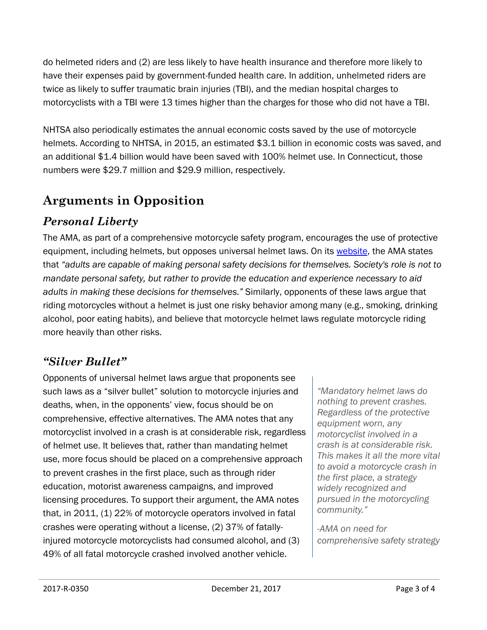do helmeted riders and (2) are less likely to have health insurance and therefore more likely to have their expenses paid by government-funded health care. In addition, unhelmeted riders are twice as likely to suffer traumatic brain injuries (TBI), and the median hospital charges to motorcyclists with a TBI were 13 times higher than the charges for those who did not have a TBI.

NHTSA also periodically estimates the annual economic costs saved by the use of motorcycle helmets. According to NHTSA, in 2015, an estimated \$3.1 billion in economic costs was saved, and an additional \$1.4 billion would have been saved with 100% helmet use. In Connecticut, those numbers were \$29.7 million and \$29.9 million, respectively.

## **Arguments in Opposition**

## *Personal Liberty*

The AMA, as part of a comprehensive motorcycle safety program, encourages the use of protective equipment, including helmets, but opposes universal helmet laws. On its [website,](http://www.americanmotorcyclist.com/About-The-AMA/voluntary-helmet-use-1) the AMA states that *"adults are capable of making personal safety decisions for themselves. Society's role is not to mandate personal safety, but rather to provide the education and experience necessary to aid adults in making these decisions for themselves."* Similarly, opponents of these laws argue that riding motorcycles without a helmet is just one risky behavior among many (e.g., smoking, drinking alcohol, poor eating habits), and believe that motorcycle helmet laws regulate motorcycle riding more heavily than other risks.

### *"Silver Bullet"*

Opponents of universal helmet laws argue that proponents see such laws as a "silver bullet" solution to motorcycle injuries and deaths, when, in the opponents' view, focus should be on comprehensive, effective alternatives. The AMA notes that any motorcyclist involved in a crash is at considerable risk, regardless of helmet use. It believes that, rather than mandating helmet use, more focus should be placed on a comprehensive approach to prevent crashes in the first place, such as through rider education, motorist awareness campaigns, and improved licensing procedures. To support their argument, the AMA notes that, in 2011, (1) 22% of motorcycle operators involved in fatal crashes were operating without a license, (2) 37% of fatallyinjured motorcycle motorcyclists had consumed alcohol, and (3) 49% of all fatal motorcycle crashed involved another vehicle.

*"Mandatory helmet laws do nothing to prevent crashes. Regardless of the protective equipment worn, any motorcyclist involved in a crash is at considerable risk. This makes it all the more vital to avoid a motorcycle crash in the first place, a strategy widely recognized and pursued in the motorcycling community."*

*-AMA on need for comprehensive safety strategy*